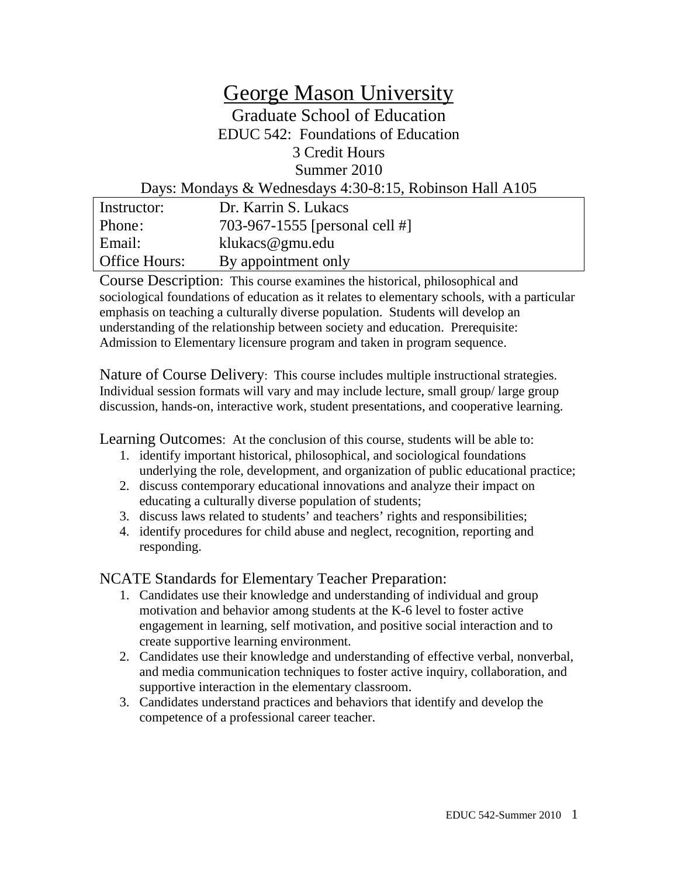# George Mason University Graduate School of Education EDUC 542: Foundations of Education 3 Credit Hours Summer 2010 Days: Mondays & Wednesdays 4:30-8:15, Robinson Hall A105

| Instructor:          | Dr. Karrin S. Lukacs           |
|----------------------|--------------------------------|
| Phone:               | 703-967-1555 [personal cell #] |
| Email:               | klukacs@gmu.edu                |
| <b>Office Hours:</b> | By appointment only            |

Course Description: This course examines the historical, philosophical and sociological foundations of education as it relates to elementary schools, with a particular emphasis on teaching a culturally diverse population. Students will develop an understanding of the relationship between society and education. Prerequisite: Admission to Elementary licensure program and taken in program sequence.

Nature of Course Delivery:This course includes multiple instructional strategies. Individual session formats will vary and may include lecture, small group/ large group discussion, hands-on, interactive work, student presentations, and cooperative learning.

Learning Outcomes: At the conclusion of this course, students will be able to:

- 1. identify important historical, philosophical, and sociological foundations underlying the role, development, and organization of public educational practice;
- 2. discuss contemporary educational innovations and analyze their impact on educating a culturally diverse population of students;
- 3. discuss laws related to students' and teachers' rights and responsibilities;
- 4. identify procedures for child abuse and neglect, recognition, reporting and responding.

NCATE Standards for Elementary Teacher Preparation:

- 1. Candidates use their knowledge and understanding of individual and group motivation and behavior among students at the K-6 level to foster active engagement in learning, self motivation, and positive social interaction and to create supportive learning environment.
- 2. Candidates use their knowledge and understanding of effective verbal, nonverbal, and media communication techniques to foster active inquiry, collaboration, and supportive interaction in the elementary classroom.
- 3. Candidates understand practices and behaviors that identify and develop the competence of a professional career teacher.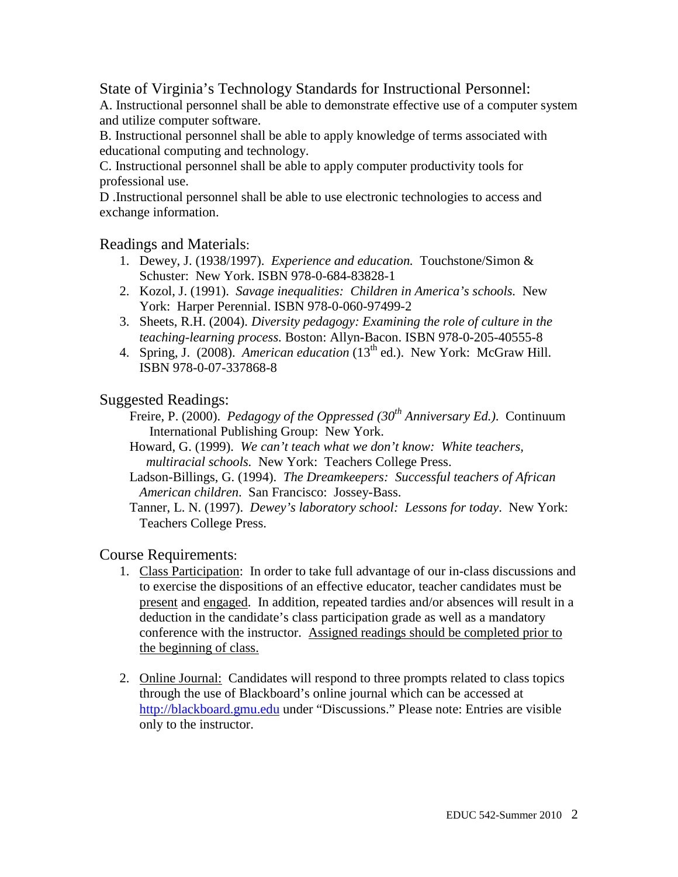## State of Virginia's Technology Standards for Instructional Personnel:

A. Instructional personnel shall be able to demonstrate effective use of a computer system and utilize computer software.

B. Instructional personnel shall be able to apply knowledge of terms associated with educational computing and technology.

C. Instructional personnel shall be able to apply computer productivity tools for professional use.

D .Instructional personnel shall be able to use electronic technologies to access and exchange information.

### Readings and Materials:

- 1. Dewey, J. (1938/1997). *Experience and education.* Touchstone/Simon & Schuster: New York. ISBN 978-0-684-83828-1
- 2. Kozol, J. (1991). *Savage inequalities: Children in America's schools.* New York: Harper Perennial. ISBN 978-0-060-97499-2
- 3. Sheets, R.H. (2004). *Diversity pedagogy: Examining the role of culture in the teaching-learning process.* Boston: Allyn-Bacon. ISBN 978-0-205-40555-8
- 4. Spring, J. (2008). *American education* (13<sup>th</sup> ed.). New York: McGraw Hill. ISBN 978-0-07-337868-8

## Suggested Readings:

- Freire, P. (2000). *Pedagogy of the Oppressed (30th Anniversary Ed.)*. Continuum International Publishing Group: New York.
- Howard, G. (1999). *We can't teach what we don't know: White teachers, multiracial schools.* New York: Teachers College Press.
- Ladson-Billings, G. (1994). *The Dreamkeepers: Successful teachers of African American children*. San Francisco: Jossey-Bass.

Tanner, L. N. (1997). *Dewey's laboratory school: Lessons for today*. New York: Teachers College Press.

### Course Requirements:

- 1. Class Participation: In order to take full advantage of our in-class discussions and to exercise the dispositions of an effective educator, teacher candidates must be present and engaged. In addition, repeated tardies and/or absences will result in a deduction in the candidate's class participation grade as well as a mandatory conference with the instructor. Assigned readings should be completed prior to the beginning of class.
- 2. Online Journal: Candidates will respond to three prompts related to class topics through the use of Blackboard's online journal which can be accessed at [http://blackboard.gmu.edu](http://blackboard.gmu.edu/) under "Discussions." Please note: Entries are visible only to the instructor.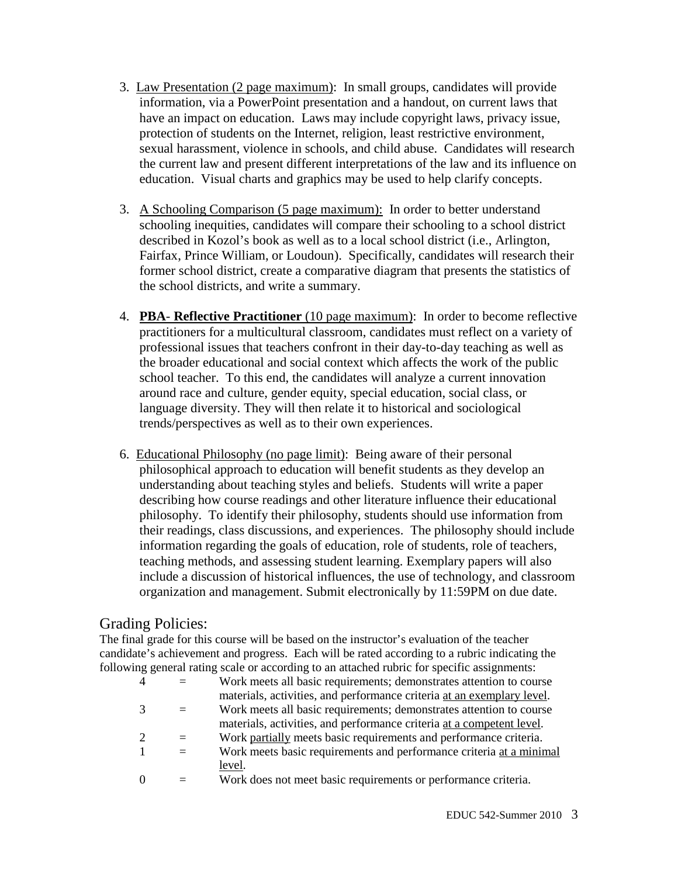- 3. Law Presentation (2 page maximum): In small groups, candidates will provide information, via a PowerPoint presentation and a handout, on current laws that have an impact on education. Laws may include copyright laws, privacy issue, protection of students on the Internet, religion, least restrictive environment, sexual harassment, violence in schools, and child abuse. Candidates will research the current law and present different interpretations of the law and its influence on education. Visual charts and graphics may be used to help clarify concepts.
- 3. A Schooling Comparison (5 page maximum): In order to better understand schooling inequities, candidates will compare their schooling to a school district described in Kozol's book as well as to a local school district (i.e., Arlington, Fairfax, Prince William, or Loudoun). Specifically, candidates will research their former school district, create a comparative diagram that presents the statistics of the school districts, and write a summary.
- 4. **PBA Reflective Practitioner** (10 page maximum): In order to become reflective practitioners for a multicultural classroom, candidates must reflect on a variety of professional issues that teachers confront in their day-to-day teaching as well as the broader educational and social context which affects the work of the public school teacher. To this end, the candidates will analyze a current innovation around race and culture, gender equity, special education, social class, or language diversity. They will then relate it to historical and sociological trends/perspectives as well as to their own experiences.
- 6. Educational Philosophy (no page limit): Being aware of their personal philosophical approach to education will benefit students as they develop an understanding about teaching styles and beliefs. Students will write a paper describing how course readings and other literature influence their educational philosophy. To identify their philosophy, students should use information from their readings, class discussions, and experiences. The philosophy should include information regarding the goals of education, role of students, role of teachers, teaching methods, and assessing student learning. Exemplary papers will also include a discussion of historical influences, the use of technology, and classroom organization and management. Submit electronically by 11:59PM on due date.

## Grading Policies:

The final grade for this course will be based on the instructor's evaluation of the teacher candidate's achievement and progress. Each will be rated according to a rubric indicating the following general rating scale or according to an attached rubric for specific assignments:

| $\overline{4}$ |     | Work meets all basic requirements; demonstrates attention to course    |
|----------------|-----|------------------------------------------------------------------------|
|                |     | materials, activities, and performance criteria at an exemplary level. |
|                |     | Work meets all basic requirements; demonstrates attention to course    |
|                |     | materials, activities, and performance criteria at a competent level.  |
| 2              | $=$ | Work partially meets basic requirements and performance criteria.      |
|                | $=$ | Work meets basic requirements and performance criteria at a minimal    |
|                |     | level.                                                                 |
|                |     | Work does not meet basic requirements or performance criteria.         |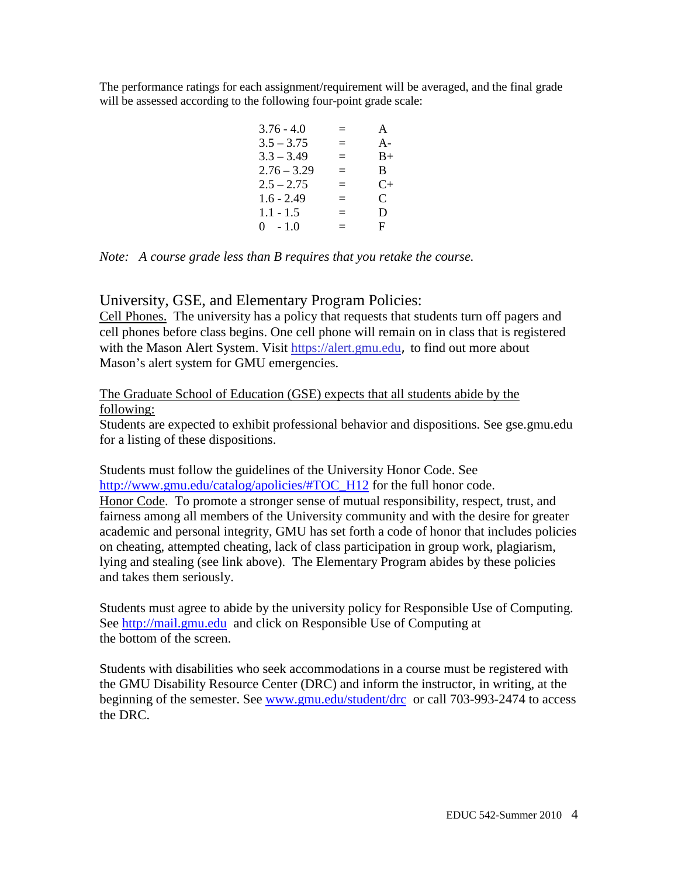The performance ratings for each assignment/requirement will be averaged, and the final grade will be assessed according to the following four-point grade scale:

| $3.76 - 4.0$  | $=$ | A         |
|---------------|-----|-----------|
| $3.5 - 3.75$  | $=$ | $A -$     |
| $3.3 - 3.49$  | $=$ | $B+$      |
| $2.76 - 3.29$ | $=$ | B.        |
| $2.5 - 2.75$  | $=$ | $C_{\pm}$ |
| $1.6 - 2.49$  | $=$ | C         |
| $1.1 - 1.5$   | $=$ | D         |
| $0 - 1.0$     | $=$ | F         |
|               |     |           |

*Note: A course grade less than B requires that you retake the course.*

### University, GSE, and Elementary Program Policies:

Cell Phones. The university has a policy that requests that students turn off pagers and cell phones before class begins. One cell phone will remain on in class that is registered with the Mason Alert System. Visit [https://alert.gmu.edu](https://alert.gmu.edu/), to find out more about Mason's alert system for GMU emergencies.

#### The Graduate School of Education (GSE) expects that all students abide by the following:

Students are expected to exhibit professional behavior and dispositions. See gse.gmu.edu for a listing of these dispositions.

Students must follow the guidelines of the University Honor Code. See [http://www.gmu.edu/catalog/apolicies/#TOC\\_H12](http://www.gmu.edu/catalog/apolicies/#TOC_H12) for the full honor code. Honor Code. To promote a stronger sense of mutual responsibility, respect, trust, and fairness among all members of the University community and with the desire for greater academic and personal integrity, GMU has set forth a code of honor that includes policies on cheating, attempted cheating, lack of class participation in group work, plagiarism, lying and stealing (see link above). The Elementary Program abides by these policies and takes them seriously.

Students must agree to abide by the university policy for Responsible Use of Computing. See [http://mail.gmu.edu](http://mail.gmu.edu/) and click on Responsible Use of Computing at the bottom of the screen.

Students with disabilities who seek accommodations in a course must be registered with the GMU Disability Resource Center (DRC) and inform the instructor, in writing, at the beginning of the semester. See [www.gmu.edu/student/drc](http://www.gmu.edu/student/drc) or call 703-993-2474 to access the DRC.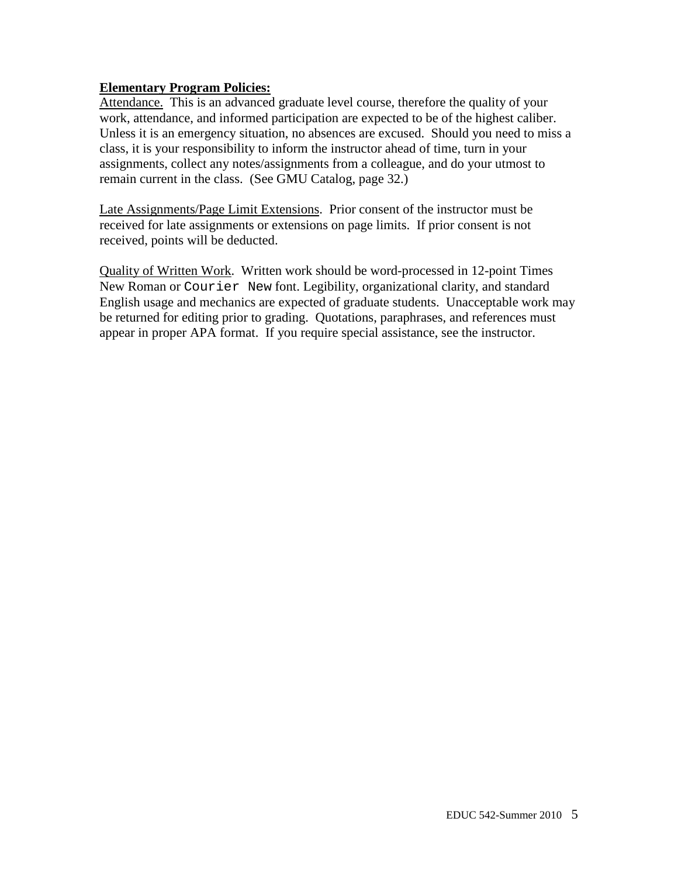### **Elementary Program Policies:**

Attendance. This is an advanced graduate level course, therefore the quality of your work, attendance, and informed participation are expected to be of the highest caliber. Unless it is an emergency situation, no absences are excused. Should you need to miss a class, it is your responsibility to inform the instructor ahead of time, turn in your assignments, collect any notes/assignments from a colleague, and do your utmost to remain current in the class. (See GMU Catalog, page 32.)

Late Assignments/Page Limit Extensions. Prior consent of the instructor must be received for late assignments or extensions on page limits. If prior consent is not received, points will be deducted.

Quality of Written Work. Written work should be word-processed in 12-point Times New Roman or Courier New font. Legibility, organizational clarity, and standard English usage and mechanics are expected of graduate students. Unacceptable work may be returned for editing prior to grading. Quotations, paraphrases, and references must appear in proper APA format. If you require special assistance, see the instructor.